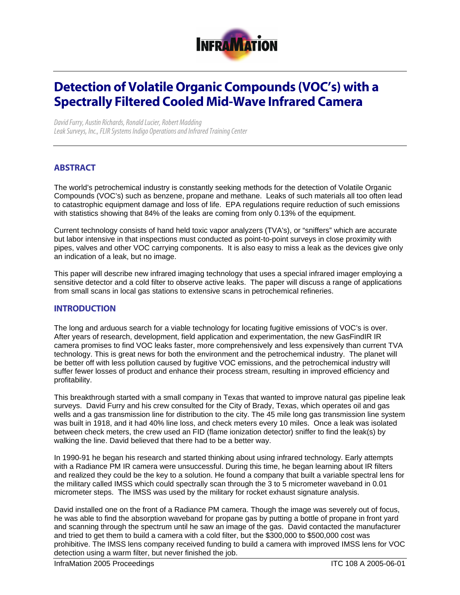

# Detection of Volatile Organic Compounds (VOC's) with a Spectrally Filtered Cooled Mid-Wave Infrared Camera

*David Furry, Austin Richards, Ronald Lucier, Robert Madding Leak Surveys, Inc., FLIR Systems Indigo Operations and Infrared Training Center* 

# **ABSTRACT**

The world's petrochemical industry is constantly seeking methods for the detection of Volatile Organic Compounds (VOC's) such as benzene, propane and methane. Leaks of such materials all too often lead to catastrophic equipment damage and loss of life. EPA regulations require reduction of such emissions with statistics showing that 84% of the leaks are coming from only 0.13% of the equipment.

Current technology consists of hand held toxic vapor analyzers (TVA's), or "sniffers" which are accurate but labor intensive in that inspections must conducted as point-to-point surveys in close proximity with pipes, valves and other VOC carrying components. It is also easy to miss a leak as the devices give only an indication of a leak, but no image.

This paper will describe new infrared imaging technology that uses a special infrared imager employing a sensitive detector and a cold filter to observe active leaks. The paper will discuss a range of applications from small scans in local gas stations to extensive scans in petrochemical refineries.

#### INTRODUCTION

The long and arduous search for a viable technology for locating fugitive emissions of VOC's is over. After years of research, development, field application and experimentation, the new GasFindIR IR camera promises to find VOC leaks faster, more comprehensively and less expensively than current TVA technology. This is great news for both the environment and the petrochemical industry. The planet will be better off with less pollution caused by fugitive VOC emissions, and the petrochemical industry will suffer fewer losses of product and enhance their process stream, resulting in improved efficiency and profitability.

This breakthrough started with a small company in Texas that wanted to improve natural gas pipeline leak surveys. David Furry and his crew consulted for the City of Brady, Texas, which operates oil and gas wells and a gas transmission line for distribution to the city. The 45 mile long gas transmission line system was built in 1918, and it had 40% line loss, and check meters every 10 miles. Once a leak was isolated between check meters, the crew used an FID (flame ionization detector) sniffer to find the leak(s) by walking the line. David believed that there had to be a better way.

In 1990-91 he began his research and started thinking about using infrared technology. Early attempts with a Radiance PM IR camera were unsuccessful. During this time, he began learning about IR filters and realized they could be the key to a solution. He found a company that built a variable spectral lens for the military called IMSS which could spectrally scan through the 3 to 5 micrometer waveband in 0.01 micrometer steps. The IMSS was used by the military for rocket exhaust signature analysis.

David installed one on the front of a Radiance PM camera. Though the image was severely out of focus, he was able to find the absorption waveband for propane gas by putting a bottle of propane in front yard and scanning through the spectrum until he saw an image of the gas. David contacted the manufacturer and tried to get them to build a camera with a cold filter, but the \$300,000 to \$500,000 cost was prohibitive. The IMSS lens company received funding to build a camera with improved IMSS lens for VOC detection using a warm filter, but never finished the job.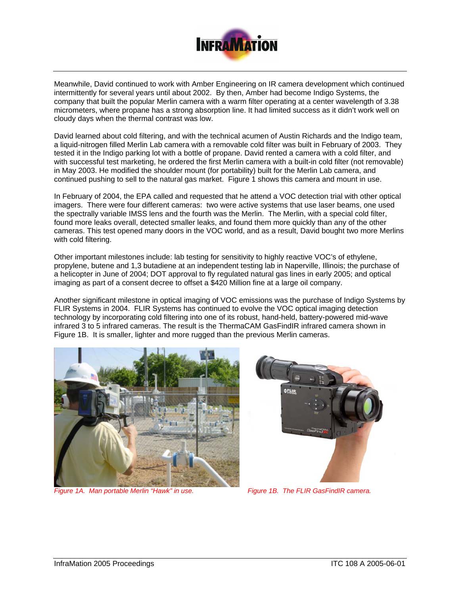

Meanwhile, David continued to work with Amber Engineering on IR camera development which continued intermittently for several years until about 2002. By then, Amber had become Indigo Systems, the company that built the popular Merlin camera with a warm filter operating at a center wavelength of 3.38 micrometers, where propane has a strong absorption line. It had limited success as it didn't work well on cloudy days when the thermal contrast was low.

David learned about cold filtering, and with the technical acumen of Austin Richards and the Indigo team, a liquid-nitrogen filled Merlin Lab camera with a removable cold filter was built in February of 2003. They tested it in the Indigo parking lot with a bottle of propane. David rented a camera with a cold filter, and with successful test marketing, he ordered the first Merlin camera with a built-in cold filter (not removable) in May 2003. He modified the shoulder mount (for portability) built for the Merlin Lab camera, and continued pushing to sell to the natural gas market. Figure 1 shows this camera and mount in use.

In February of 2004, the EPA called and requested that he attend a VOC detection trial with other optical imagers. There were four different cameras: two were active systems that use laser beams, one used the spectrally variable IMSS lens and the fourth was the Merlin. The Merlin, with a special cold filter, found more leaks overall, detected smaller leaks, and found them more quickly than any of the other cameras. This test opened many doors in the VOC world, and as a result, David bought two more Merlins with cold filtering.

Other important milestones include: lab testing for sensitivity to highly reactive VOC's of ethylene, propylene, butene and 1,3 butadiene at an independent testing lab in Naperville, Illinois; the purchase of a helicopter in June of 2004; DOT approval to fly regulated natural gas lines in early 2005; and optical imaging as part of a consent decree to offset a \$420 Million fine at a large oil company.

Another significant milestone in optical imaging of VOC emissions was the purchase of Indigo Systems by FLIR Systems in 2004. FLIR Systems has continued to evolve the VOC optical imaging detection technology by incorporating cold filtering into one of its robust, hand-held, battery-powered mid-wave infrared 3 to 5 infrared cameras. The result is the ThermaCAM GasFindIR infrared camera shown in Figure 1B. It is smaller, lighter and more rugged than the previous Merlin cameras.



*Figure 1A. Man portable Merlin "Hawk" in use. Figure 1B. The FLIR GasFindIR camera.* 

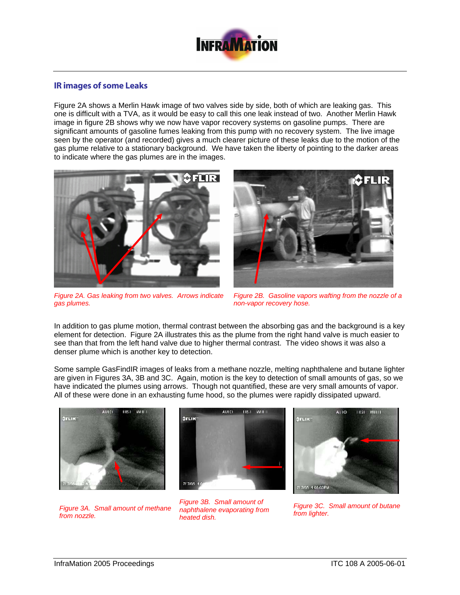

## IR images of some Leaks

Figure 2A shows a Merlin Hawk image of two valves side by side, both of which are leaking gas. This one is difficult with a TVA, as it would be easy to call this one leak instead of two. Another Merlin Hawk image in figure 2B shows why we now have vapor recovery systems on gasoline pumps. There are significant amounts of gasoline fumes leaking from this pump with no recovery system. The live image seen by the operator (and recorded) gives a much clearer picture of these leaks due to the motion of the gas plume relative to a stationary background. We have taken the liberty of pointing to the darker areas to indicate where the gas plumes are in the images.



*Figure 2A. Gas leaking from two valves. Arrows indicate gas plumes.* 



*Figure 2B. Gasoline vapors wafting from the nozzle of a non-vapor recovery hose.* 

In addition to gas plume motion, thermal contrast between the absorbing gas and the background is a key element for detection. Figure 2A illustrates this as the plume from the right hand valve is much easier to see than that from the left hand valve due to higher thermal contrast. The video shows it was also a denser plume which is another key to detection.

Some sample GasFindIR images of leaks from a methane nozzle, melting naphthalene and butane lighter are given in Figures 3A, 3B and 3C. Again, motion is the key to detection of small amounts of gas, so we have indicated the plumes using arrows. Though not quantified, these are very small amounts of vapor. All of these were done in an exhausting fume hood, so the plumes were rapidly dissipated upward.



*Figure 3A. Small amount of methane from nozzle.*



*Figure 3B. Small amount of naphthalene evaporating from heated dish.* 



*Figure 3C. Small amount of butane from lighter.*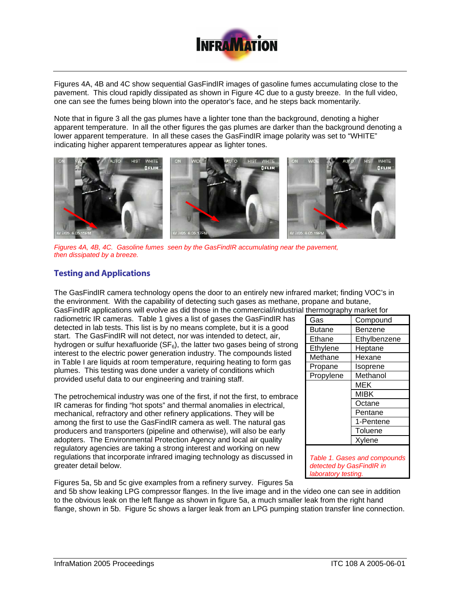

Figures 4A, 4B and 4C show sequential GasFindIR images of gasoline fumes accumulating close to the pavement. This cloud rapidly dissipated as shown in Figure 4C due to a gusty breeze. In the full video, one can see the fumes being blown into the operator's face, and he steps back momentarily.

Note that in figure 3 all the gas plumes have a lighter tone than the background, denoting a higher apparent temperature. In all the other figures the gas plumes are darker than the background denoting a lower apparent temperature. In all these cases the GasFindIR image polarity was set to "WHITE" indicating higher apparent temperatures appear as lighter tones.



*Figures 4A, 4B, 4C. Gasoline fumes seen by the GasFindIR accumulating near the pavement, then dissipated by a breeze.*

## Testing and Applications

The GasFindIR camera technology opens the door to an entirely new infrared market; finding VOC's in the environment. With the capability of detecting such gases as methane, propane and butane,

GasFindIR applications will evolve as did those in the commercial/industrial thermography market for radiometric IR cameras. Table 1 gives a list of gases the GasFindIR has detected in lab tests. This list is by no means complete, but it is a good start. The GasFindIR will not detect, nor was intended to detect, air, hydrogen or sulfur hexafluoride ( $SF<sub>6</sub>$ ), the latter two gases being of strong interest to the electric power generation industry. The compounds listed in Table I are liquids at room temperature, requiring heating to form gas plumes. This testing was done under a variety of conditions which provided useful data to our engineering and training staff.

The petrochemical industry was one of the first, if not the first, to embrace IR cameras for finding "hot spots" and thermal anomalies in electrical, mechanical, refractory and other refinery applications. They will be among the first to use the GasFindIR camera as well. The natural gas producers and transporters (pipeline and otherwise), will also be early adopters. The Environmental Protection Agency and local air quality regulatory agencies are taking a strong interest and working on new regulations that incorporate infrared imaging technology as discussed in greater detail below.

| nunivyiapiiy<br>ו ווטו ולטו וטו |              |
|---------------------------------|--------------|
| Gas                             | Compound     |
| <b>Butane</b>                   | Benzene      |
| Ethane                          | Ethylbenzene |
| Ethylene                        | Heptane      |
| Methane                         | Hexane       |
| Propane                         | Isoprene     |
| Propylene                       | Methanol     |
|                                 | MEK          |
|                                 | <b>MIBK</b>  |
|                                 | Octane       |
|                                 | Pentane      |
|                                 | 1-Pentene    |
|                                 | Toluene      |
|                                 | Xylene       |
|                                 |              |

*Table 1. Gases and compounds detected by GasFindIR in laboratory testing.*

Figures 5a, 5b and 5c give examples from a refinery survey. Figures 5a and 5b show leaking LPG compressor flanges. In the live image and in the video one can see in addition to the obvious leak on the left flange as shown in figure 5a, a much smaller leak from the right hand flange, shown in 5b. Figure 5c shows a larger leak from an LPG pumping station transfer line connection.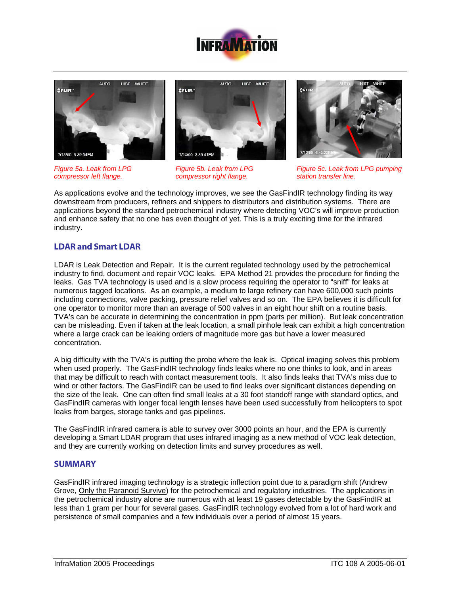







*Figure 5a. Leak from LPG compressor left flange.* 

*Figure 5b. Leak from LPG compressor right flange.* 

*Figure 5c. Leak from LPG pumping station transfer line.* 

As applications evolve and the technology improves, we see the GasFindIR technology finding its way downstream from producers, refiners and shippers to distributors and distribution systems. There are applications beyond the standard petrochemical industry where detecting VOC's will improve production and enhance safety that no one has even thought of yet. This is a truly exciting time for the infrared industry.

# LDAR and Smart LDAR

LDAR is Leak Detection and Repair. It is the current regulated technology used by the petrochemical industry to find, document and repair VOC leaks. EPA Method 21 provides the procedure for finding the leaks. Gas TVA technology is used and is a slow process requiring the operator to "sniff" for leaks at numerous tagged locations. As an example, a medium to large refinery can have 600,000 such points including connections, valve packing, pressure relief valves and so on. The EPA believes it is difficult for one operator to monitor more than an average of 500 valves in an eight hour shift on a routine basis. TVA's can be accurate in determining the concentration in ppm (parts per million). But leak concentration can be misleading. Even if taken at the leak location, a small pinhole leak can exhibit a high concentration where a large crack can be leaking orders of magnitude more gas but have a lower measured concentration.

A big difficulty with the TVA's is putting the probe where the leak is. Optical imaging solves this problem when used properly. The GasFindIR technology finds leaks where no one thinks to look, and in areas that may be difficult to reach with contact measurement tools. It also finds leaks that TVA's miss due to wind or other factors. The GasFindIR can be used to find leaks over significant distances depending on the size of the leak. One can often find small leaks at a 30 foot standoff range with standard optics, and GasFindIR cameras with longer focal length lenses have been used successfully from helicopters to spot leaks from barges, storage tanks and gas pipelines.

The GasFindIR infrared camera is able to survey over 3000 points an hour, and the EPA is currently developing a Smart LDAR program that uses infrared imaging as a new method of VOC leak detection, and they are currently working on detection limits and survey procedures as well.

### **SUMMARY**

GasFindIR infrared imaging technology is a strategic inflection point due to a paradigm shift (Andrew Grove, Only the Paranoid Survive) for the petrochemical and regulatory industries. The applications in the petrochemical industry alone are numerous with at least 19 gases detectable by the GasFindIR at less than 1 gram per hour for several gases. GasFindIR technology evolved from a lot of hard work and persistence of small companies and a few individuals over a period of almost 15 years.